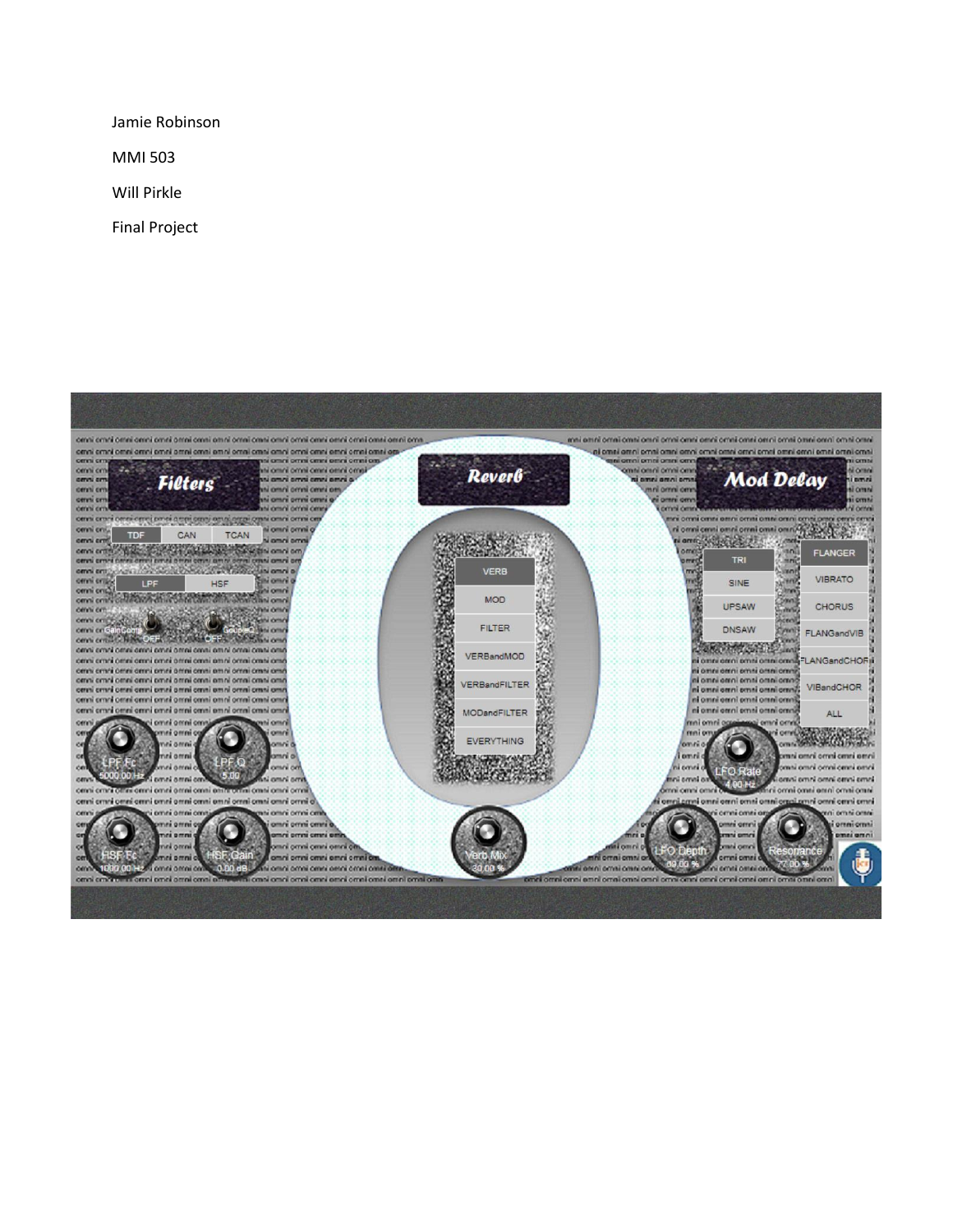Jamie Robinson

MMI 503

Will Pirkle

Final Project

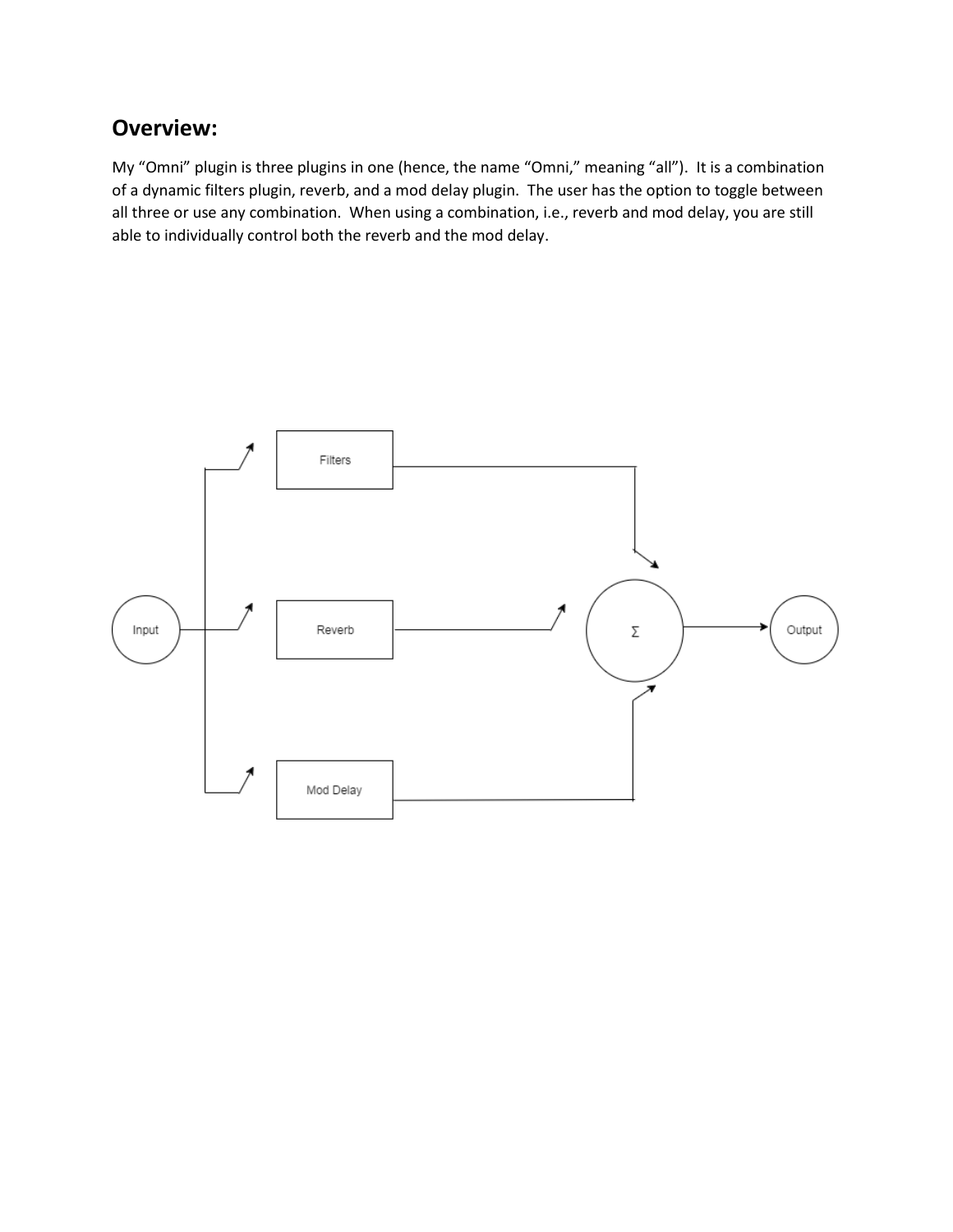## **Overview:**

My "Omni" plugin is three plugins in one (hence, the name "Omni," meaning "all"). It is a combination of a dynamic filters plugin, reverb, and a mod delay plugin. The user has the option to toggle between all three or use any combination. When using a combination, i.e., reverb and mod delay, you are still able to individually control both the reverb and the mod delay.

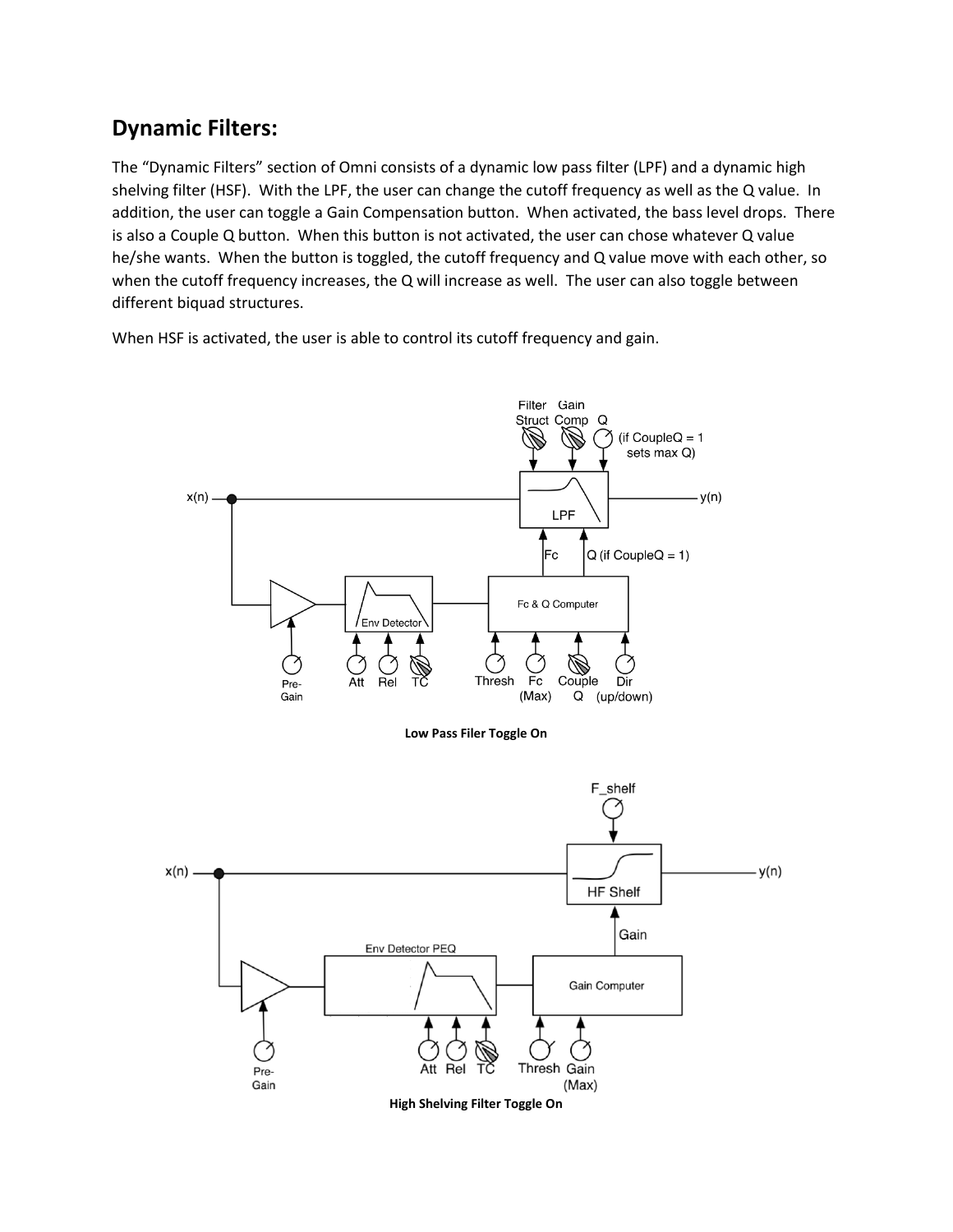## **Dynamic Filters:**

The "Dynamic Filters" section of Omni consists of a dynamic low pass filter (LPF) and a dynamic high shelving filter (HSF). With the LPF, the user can change the cutoff frequency as well as the Q value. In addition, the user can toggle a Gain Compensation button. When activated, the bass level drops. There is also a Couple Q button. When this button is not activated, the user can chose whatever Q value he/she wants. When the button is toggled, the cutoff frequency and Q value move with each other, so when the cutoff frequency increases, the Q will increase as well. The user can also toggle between different biquad structures.

When HSF is activated, the user is able to control its cutoff frequency and gain.

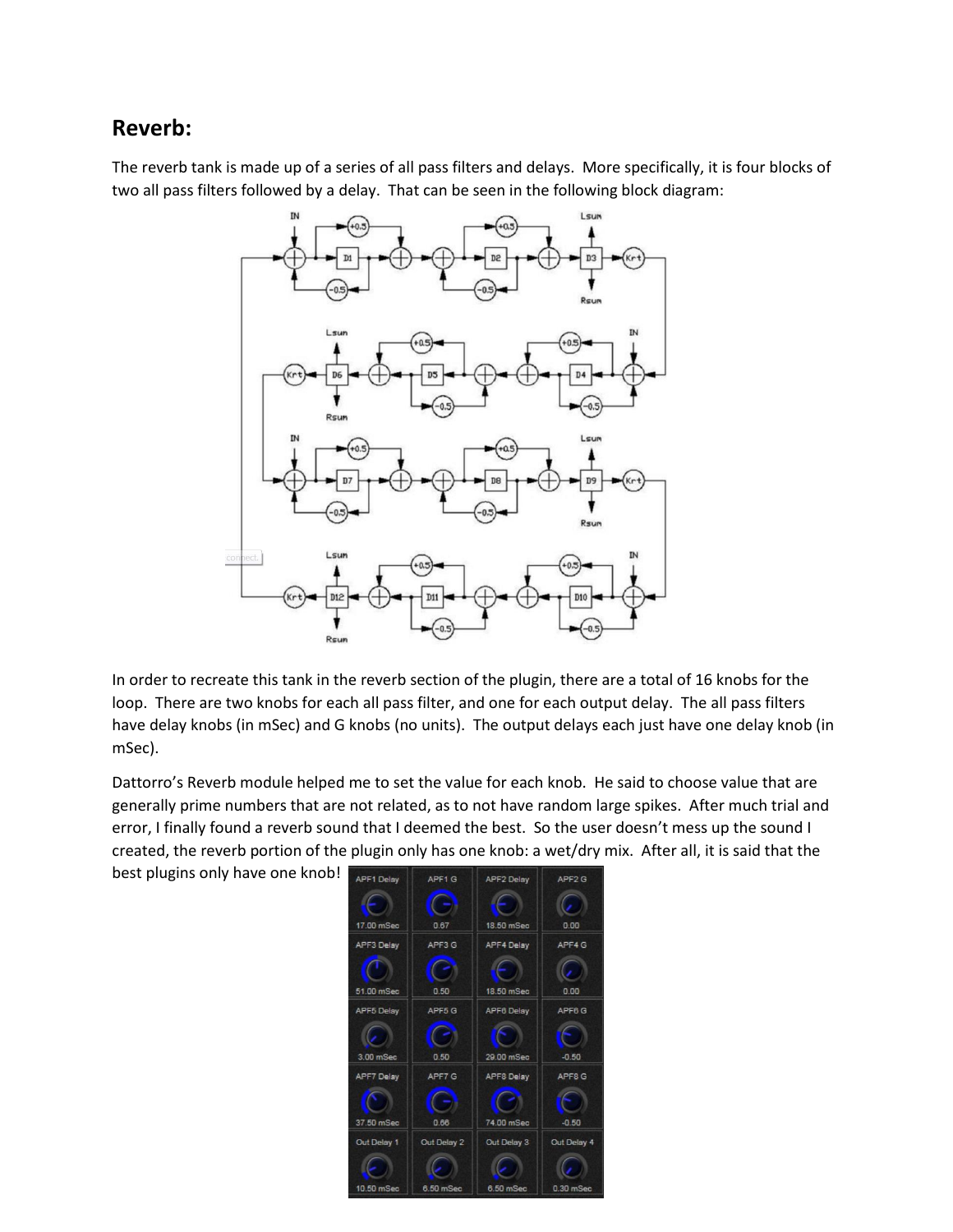## **Reverb:**

The reverb tank is made up of a series of all pass filters and delays. More specifically, it is four blocks of two all pass filters followed by a delay. That can be seen in the following block diagram:



In order to recreate this tank in the reverb section of the plugin, there are a total of 16 knobs for the loop. There are two knobs for each all pass filter, and one for each output delay. The all pass filters have delay knobs (in mSec) and G knobs (no units). The output delays each just have one delay knob (in mSec).

Dattorro's Reverb module helped me to set the value for each knob. He said to choose value that are generally prime numbers that are not related, as to not have random large spikes. After much trial and error, I finally found a reverb sound that I deemed the best. So the user doesn't mess up the sound I created, the reverb portion of the plugin only has one knob: a wet/dry mix. After all, it is said that the

best plugins only have one knob!